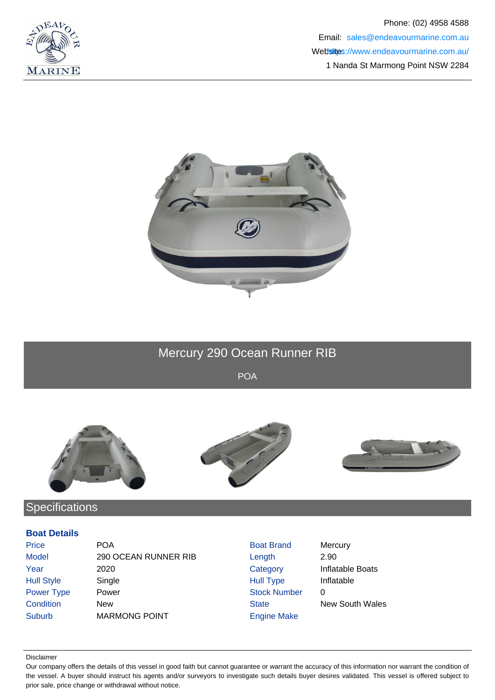



# Mercury 290 Ocean Runner RIB

POA



## **Specifications**

#### **Boat Details**

| <b>Price</b>      | <b>POA</b>           | <b>Boat Brand</b>   | Mercury                 |
|-------------------|----------------------|---------------------|-------------------------|
| <b>Model</b>      | 290 OCEAN RUNNER RIB | Length              | 2.90                    |
| Year              | 2020                 | Category            | <b>Inflatable Boats</b> |
| <b>Hull Style</b> | Single               | <b>Hull Type</b>    | Inflatable              |
| Power Type        | Power                | <b>Stock Number</b> | 0                       |
| Condition         | New                  | <b>State</b>        | <b>New South Wales</b>  |
| <b>Suburb</b>     | <b>MARMONG POINT</b> | <b>Engine Make</b>  |                         |

#### Disclaimer

Our company offers the details of this vessel in good faith but cannot guarantee or warrant the accuracy of this information nor warrant the condition of the vessel. A buyer should instruct his agents and/or surveyors to investigate such details buyer desires validated. This vessel is offered subject to prior sale, price change or withdrawal without notice.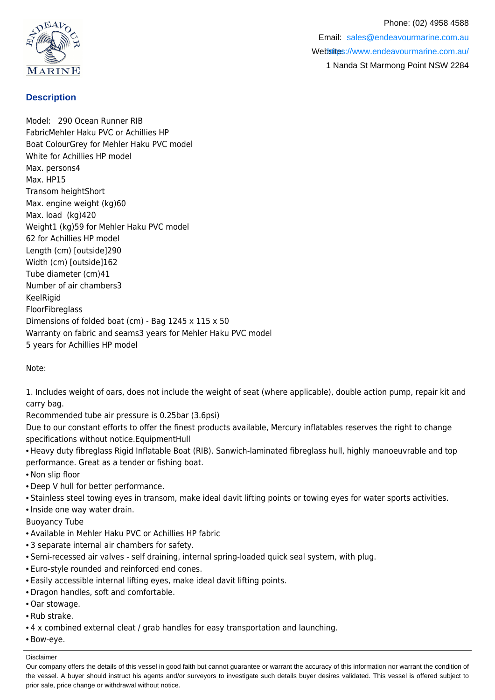

### **Description**

Model: 290 Ocean Runner RIB FabricMehler Haku PVC or Achillies HP Boat ColourGrey for Mehler Haku PVC model White for Achillies HP model Max. persons4 Max. HP15 Transom heightShort Max. engine weight (kg)60 Max. load (kg)420 Weight1 (kg)59 for Mehler Haku PVC model 62 for Achillies HP model Length (cm) [outside]290 Width (cm) [outside]162 Tube diameter (cm)41 Number of air chambers3 **KeelRigid** FloorFibreglass Dimensions of folded boat (cm) - Bag 1245 x 115 x 50 Warranty on fabric and seams3 years for Mehler Haku PVC model 5 years for Achillies HP model

Note:

1. Includes weight of oars, does not include the weight of seat (where applicable), double action pump, repair kit and carry bag.

Recommended tube air pressure is 0.25bar (3.6psi)

Due to our constant efforts to offer the finest products available, Mercury inflatables reserves the right to change specifications without notice.EquipmentHull

• Heavy duty fibreglass Rigid Inflatable Boat (RIB). Sanwich-laminated fibreglass hull, highly manoeuvrable and top performance. Great as a tender or fishing boat.

• Non slip floor

- Deep V hull for better performance.
- Stainless steel towing eyes in transom, make ideal davit lifting points or towing eyes for water sports activities.
- Inside one way water drain.
- Buoyancy Tube
- Available in Mehler Haku PVC or Achillies HP fabric
- 3 separate internal air chambers for safety.
- Semi-recessed air valves self draining, internal spring-loaded quick seal system, with plug.
- Euro-style rounded and reinforced end cones.
- Easily accessible internal lifting eyes, make ideal davit lifting points.
- Dragon handles, soft and comfortable.
- Oar stowage.
- Rub strake.
- 4 x combined external cleat / grab handles for easy transportation and launching.
- Bow-eye.

Disclaimer

Our company offers the details of this vessel in good faith but cannot guarantee or warrant the accuracy of this information nor warrant the condition of the vessel. A buyer should instruct his agents and/or surveyors to investigate such details buyer desires validated. This vessel is offered subject to prior sale, price change or withdrawal without notice.